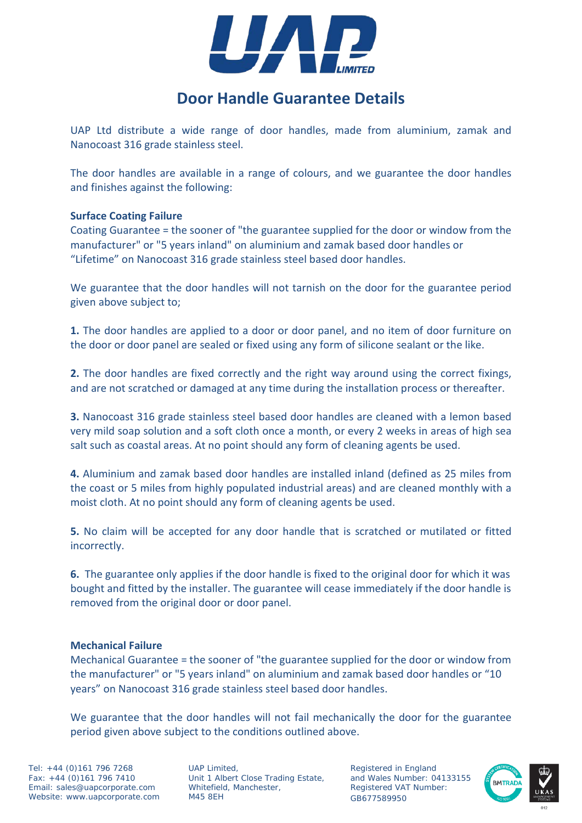

# **Door Handle Guarantee Details**

UAP Ltd distribute a wide range of door handles, made from aluminium, zamak and Nanocoast 316 grade stainless steel.

The door handles are available in a range of colours, and we guarantee the door handles and finishes against the following:

# **Surface Coating Failure**

Coating Guarantee = the sooner of "the guarantee supplied for the door or window from the manufacturer" or "5 years inland" on aluminium and zamak based door handles or "Lifetime" on Nanocoast 316 grade stainless steel based door handles.

We guarantee that the door handles will not tarnish on the door for the guarantee period given above subject to;

**1.** The door handles are applied to a door or door panel, and no item of door furniture on the door or door panel are sealed or fixed using any form of silicone sealant or the like.

**2.** The door handles are fixed correctly and the right way around using the correct fixings, and are not scratched or damaged at any time during the installation process or thereafter.

**3.** Nanocoast 316 grade stainless steel based door handles are cleaned with a lemon based very mild soap solution and a soft cloth once a month, or every 2 weeks in areas of high sea salt such as coastal areas. At no point should any form of cleaning agents be used.

**4.** Aluminium and zamak based door handles are installed inland (defined as 25 miles from the coast or 5 miles from highly populated industrial areas) and are cleaned monthly with a moist cloth. At no point should any form of cleaning agents be used.

**5.** No claim will be accepted for any door handle that is scratched or mutilated or fitted incorrectly.

**6.** The guarantee only applies if the door handle is fixed to the original door for which it was bought and fitted by the installer. The guarantee will cease immediately if the door handle is removed from the original door or door panel.

# **Mechanical Failure**

Mechanical Guarantee = the sooner of "the guarantee supplied for the door or window from the manufacturer" or "5 years inland" on aluminium and zamak based door handles or "10 years" on Nanocoast 316 grade stainless steel based door handles.

We guarantee that the door handles will not fail mechanically the door for the guarantee period given above subject to the conditions outlined above.

Tel: +44 (0)161 796 7268 Fax: +44 (0)161 796 7410 Email: sales@uapcorporate.com Website: www.uapcorporate.com

UAP Limited, Unit 1 Albert Close Trading Estate, Whitefield, Manchester, M45 8EH

Registered in England and Wales Number: 04133155 Registered VAT Number: GB677589950